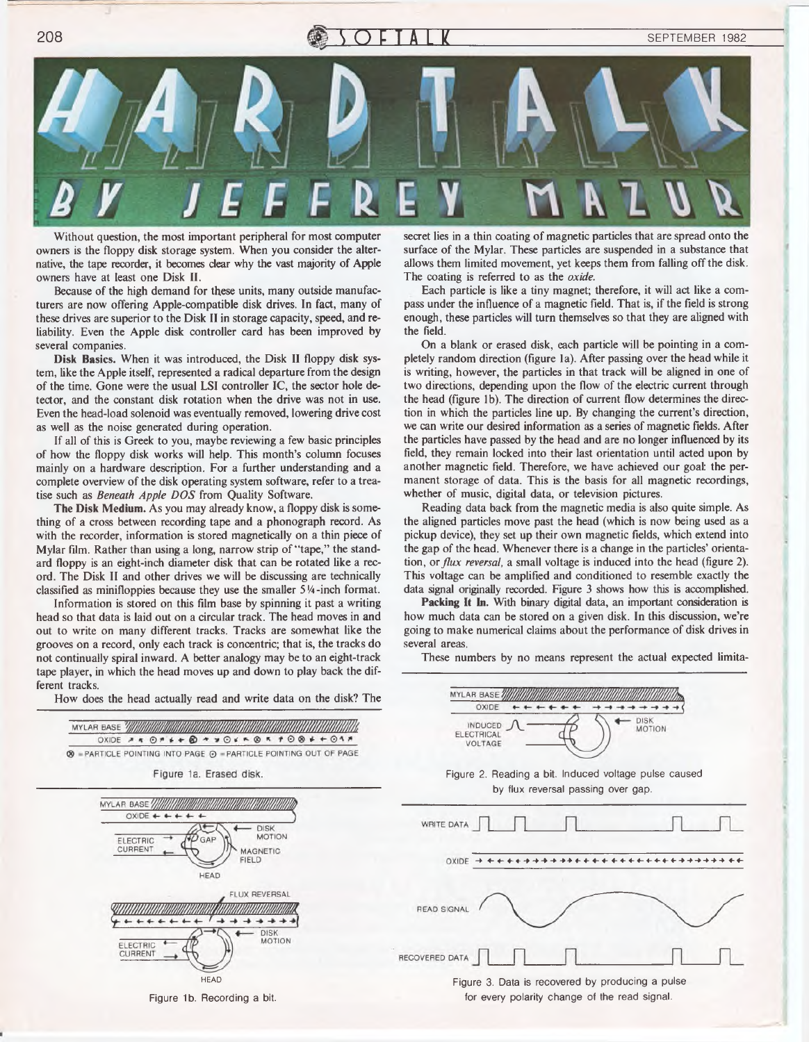

Without question, the most important peripheral for most computer owners is the floppy disk storage system. When you consider the alternative, the tape recorder, it becomes clear why the vast majority of Apple owners have at least one Disk II.

Because of the high demand for these units, many outside manufacturers are now offering Apple-compatible disk drives. In fact, many of these drives are superior to the Disk II in storage capacity, speed, and reliability. Even the Apple disk controller card has been improved by several companies.

Disk Basics. When it was introduced, the Disk II floppy disk system, like the Apple itself, represented a radical departure from the design of the time. Gone were the usual LSI controller IC, the sector hole detector, and the constant disk rotation when the drive was not in use. Even the head-load solenoid was eventually removed, lowering drive cost as well as the noise generated during operation.

If all of this is Greek to you, maybe reviewing a few basic principles of how the floppy disk works will help. This month's column focuses mainly on a hardware description. For a further understanding and a complete overview of the disk operating system software, refer to a treatise such as *Beneath Apple DOS* from Quality Software.

The Disk Medium. As you may already know, a floppy disk is something of a cross between recording tape and a phonograph record. As with the recorder, information is stored magnetically on a thin piece of Mylar film. Rather than using a long, narrow strip of "tape," the standard floppy is an eight-inch diameter disk that can be rotated like a record. The Disk II and other drives we will be discussing are technically classified as minifloppies because they use the smaller 5 *<sup>V</sup> <sup>a</sup>* -inch format.

Information is stored on this film base by spinning it past a writing head so that data is laid out on a circular track. The head moves in and out to write on many different tracks. Tracks are somewhat like the grooves on a record, only each track is concentric; that is, the tracks do not continually spiral inward. A better analogy may be to an eight-track tape player, in which the head moves up and down to play back the different tracks.

How does the head actually read and write data on the disk? The



secret lies in a thin coating of magnetic particles that are spread onto the surface of the Mylar. These particles are suspended in a substance that allows them limited movement, yet keeps them from falling off the disk. The coating is referred to as the *oxide.*

Each particle is like a tiny magnet; therefore, it will act like a compass under the influence of a magnetic field. That is, if the field is strong enough, these particles will turn themselves so that they are aligned with the field.

On a blank or erased disk, each particle will be pointing in a completely random direction (figure la). After passing over the head while it is writing, however, the particles in that track will be aligned in one of two directions, depending upon the flow of the electric current through the head (figure lb). The direction of current flow determines the direction in which the particles line up. By changing the current's direction, we can write our desired information as a series of magnetic fields. After the particles have passed by the head and are no longer influenced by its field, they remain locked into their last orientation until acted upon by another magnetic field. Therefore, we have achieved our goal: the permanent storage of data. This is the basis for all magnetic recordings, whether of music, digital data, or television pictures.

Reading data back from the magnetic media is also quite simple. As the aligned particles move past the head (which is now being used as a pickup device), they set up their own magnetic fields, which extend into the gap of the head. Whenever there is a change in the particles' orientation, or *flux reversal,* a small voltage is induced into the head (figure 2). This voltage can be amplified and conditioned to resemble exactly the data signal originally recorded. Figure 3 shows how this is accomplished.

**Packing It In.** With binary digital data, an important consideration is how much data can be stored on a given disk. In this discussion, we're going to make numerical claims about the performance of disk drives in several areas.

These numbers by no means represent the actual expected limita-

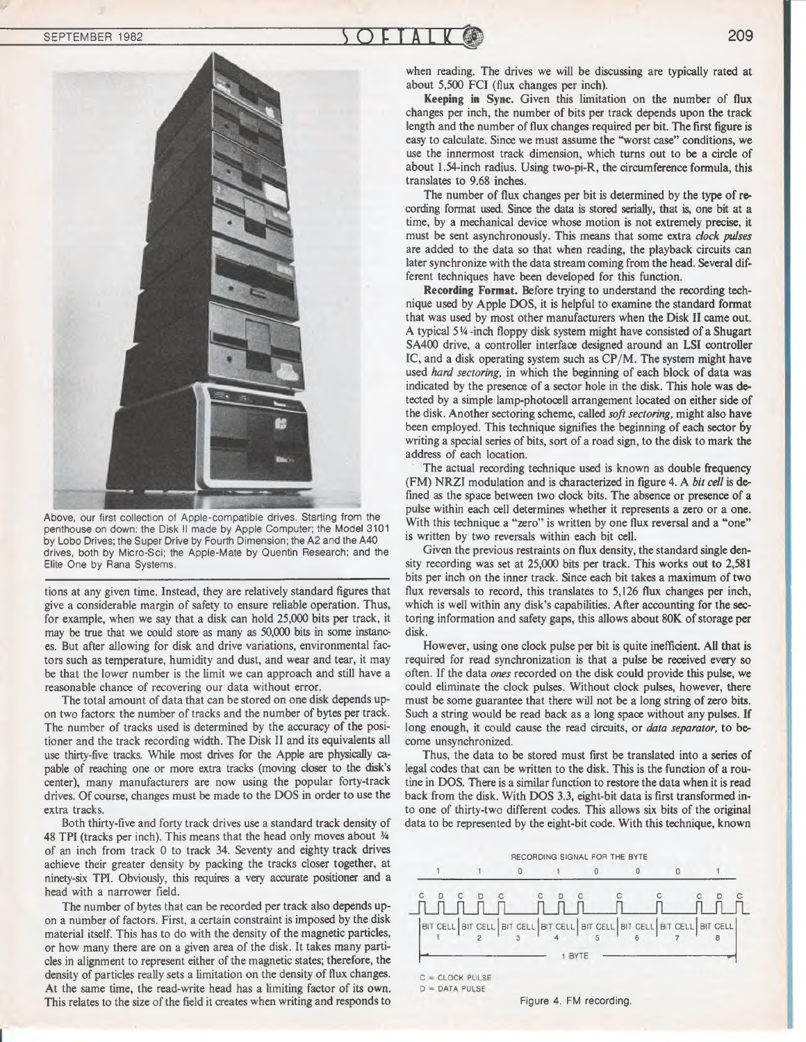



Above, our first collection of Apple-compatible drives. Starting from the penthouse on down: the Disk II made by Apple Computer; the Model 3101 by Lobo Drives; the Super Drive by Fourth Dimension; the A2 and the A40 drives, both by Micro-Sci; the Apple-Mate by Quentin Research; and the Elite One by Rana Systems.

tions at any given time. Instead, they are relatively standard figures that give a considerable margin of safety to ensure reliable operation. Thus, for example, when we say that a disk can hold 25,000 bits per track, it may be true that we could store as many as 50,000 bits in some instances. But after allowing for disk and drive variations, environmental factors such as temperature, humidity and dust, and wear and tear, it may be that the lower number is the limit we can approach and still have a reasonable chance of recovering our data without error.

The total amount of data that can be stored on one disk depends upon two factors: the number of tracks and the number of bytes per track. The number of tracks used is determined by the accuracy of the positioner and the track recording width. The Disk II and its equivalents all use thirty-five tracks. While most drives for the Apple are physically capable of reaching one or more extra tracks (moving closer to the disk's center), many manufacturers are now using the popular forty-track drives. Of course, changes must be made to the DOS in order to use the extra tracks.

Both thirty-five and forty track drives use a standard track density of 48 TPI (tracks per inch). This means that the head only moves about *3A* of an inch from track 0 to track 34. Seventy and eighty track drives achieve their greater density by packing the tracks closer together, at ninety-six TPI. Obviously, this requires a very accurate positioner and a head with a narrower field.

The number of bytes that can be recorded per track also depends upon a number of factors. First, a certain constraint is imposed by the disk material itself. This has to do with the density of the magnetic particles, or how many there are on a given area of the disk. It takes many particles in alignment to represent either of the magnetic states; therefore, the density of particles really sets a limitation on the density of flux changes. At the same time, the read-write head has a limiting factor of its own. This relates to the size of the field it creates when writing and responds to when reading. The drives we will be discussing are typically rated at about 5,500 FCI (flux changes per inch).

Keeping in Sync. Given this limitation on the number of flux changes per inch, the number of bits per track depends upon the track length and the number of flux changes required per bit. The first figure is easy to calculate. Since we must assume the "worst case" conditions, we use the innermost track dimension, which turns out to be a circle of about 1.54-inch radius. Using two-pi-R, the circumference formula, this translates to 9.68 inches.

The number of flux changes per bit is determined by the type of recording format used. Since the data is stored serially, that is, one bit at a time, by a mechanical device whose motion is not extremely precise, it must be sent asynchronously. This means that some extra *clock pulses* are added to the data so that when reading, the playback circuits can later synchronize with the data stream coming from the head. Several different techniques have been developed for this function.

Recording Format. Before trying to understand the recording technique used by Apple DOS, it is helpful to examine the standard format that was used by most other manufacturers when the Disk II came out. A typical 5 !4 -inch floppy disk system might have consisted of a Shugart SA400 drive, a controller interface designed around an LSI controller IC, and a disk operating system such as CP/M. The system might have used *hard sectoring,* in which the beginning of each block of data was indicated by the presence of a sector hole in the disk. This hole was detected by a simple lamp-photocell arrangement located on either side of the disk. Another sectoring scheme, called *soft sectoring,* might also have been employed. This technique signifies the beginning of each sector by writing a special series of bits, sort of a road sign, to the disk to mark the address of each location.

The actual recording technique used is known as double frequency (FM) NRZI modulation and is characterized in figure 4. A *bit cell* is defined as the space between two clock bits. The absence or presence of a pulse within each cell determines whether it represents a zero or a one. With this technique a "zero" is written by one flux reversal and a "one" is written by two reversals within each bit cell.

Given the previous restraints on flux density, the standard single density recording was set at 25,000 bits per track. This works out to 2,581 bits per inch on the inner track. Since each bit takes a maximum of two flux reversals to record, this translates to 5,126 flux changes per inch, which is well within any disk's capabilities. After accounting for the sectoring information and safety gaps, this allows about 80K of storage per disk.

However, using one clock pulse per bit is quite inefficient. All that is required for read synchronization is that a pulse be received every so often. If the data *ones* recorded on the disk could provide this pulse, we could eliminate the clock pulses. Without clock pulses, however, there must be some guarantee that there will not be a long string of zero bits. Such a string would be read back as a long space without any pulses. If long enough, it could cause the read circuits, or *data separator,* to become unsynchronized.

Thus, the data to be stored must first be translated into a series of legal codes that can be written to the disk. This is the function of a routine in DOS. There is a similar function to restore the data when it is read back from the disk. With DOS 3.3, eight-bit data is first transformed into one of thirty-two different codes. This allows six bits of the original data to be represented by the eight-bit code. With this technique, known



Figure 4. FM recording.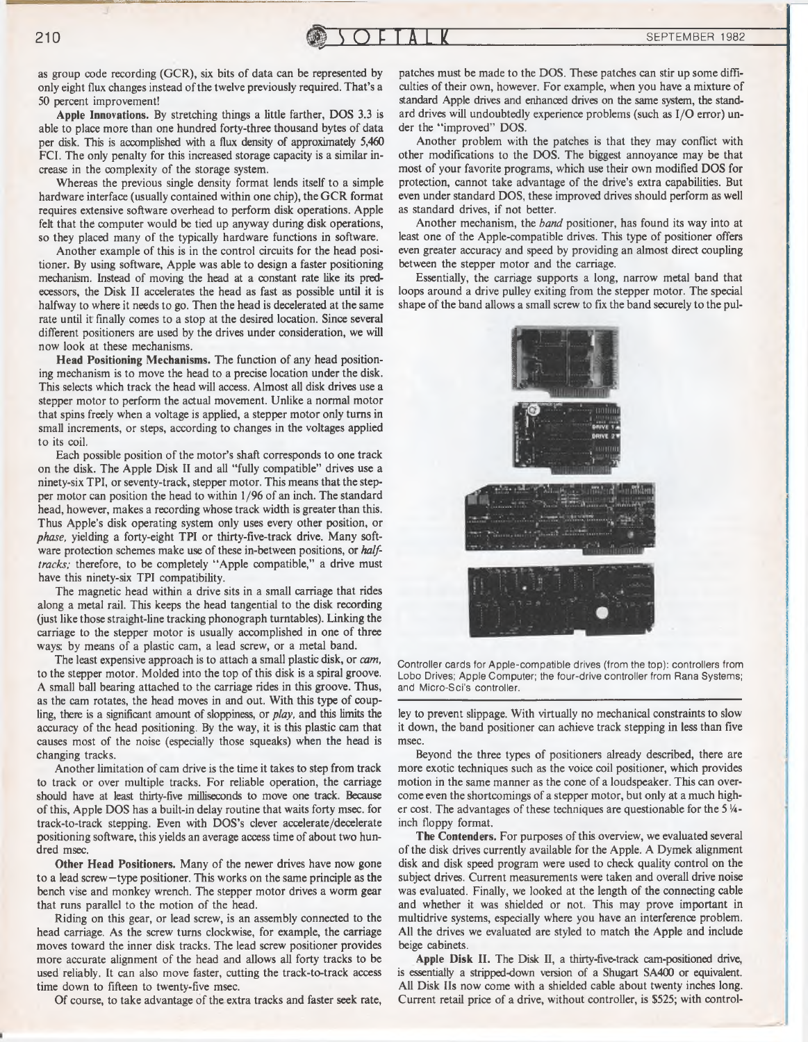as group code recording (GCR), six bits of data can be represented by only eight flux changes instead of the twelve previously required. That's a 50 percent improvement!

Apple **Innovations.** By stretching things a little farther, DOS 3.3 is able to place more than one hundred forty-three thousand bytes of data per disk. This is accomplished with a flux density of approximately 5,460 FCI. The only penalty for this increased storage capacity is a similar increase in the complexity of the storage system.

Whereas the previous single density format lends itself to a simple hardware interface (usually contained within one chip), the GCR format requires extensive software overhead to perform disk operations. Apple felt that the computer would be tied up anyway during disk operations, so they placed many of the typically hardware functions in software.

Another example of this is in the control circuits for the head positioner. By using software, Apple was able to design a faster positioning mechanism. Instead of moving the head at a constant rate like its predecessors, the Disk II accelerates the head as fast as possible until it is halfway to where it needs to go. Then the head is decelerated at the same rate until it finally comes to a stop at the desired location. Since several different positioners are used by the drives under consideration, we will now look at these mechanisms.

**Head Positioning Mechanisms.** The function of any head positioning mechanism is to move the head to a precise location under the disk. This selects which track the head will access. Almost all disk drives use a stepper motor to perform the actual movement. Unlike a normal motor that spins freely when a voltage is applied, a stepper motor only turns in small increments, or steps, according to changes in the voltages applied to its coil.

Each possible position of the motor's shaft corresponds to one track on the disk. The Apple Disk II and all "fully compatible" drives use a ninety-six TPI, or seventy-track, stepper motor. This means that the stepper motor can position the head to within 1/96 of an inch. The standard head, however, makes a recording whose track width is greater than this. Thus Apple's disk operating system only uses every other position, or *phase,* yielding a forty-eight TPI or thirty-five-track drive. Many software protection schemes make use of these in-between positions, or *halftracks;* therefore, to be completely "Apple compatible," a drive must have this ninety-six TPI compatibility.

The magnetic head within a drive sits in a small carriage that rides along a metal rail. This keeps the head tangential to the disk recording (just like those straight-line tracking phonograph turntables). Linking the carriage to the stepper motor is usually accomplished in one of three ways: by means of a plastic cam, a lead screw, or a metal band.

The least expensive approach is to attach a small plastic disk, or *cam,* to the stepper motor. Molded into the top of this disk is a spiral groove. A small ball bearing attached to the carriage rides in this groove. Thus, as the cam rotates, the head moves in and out. With this type of coupling, there is a significant amount of sloppiness, or *play,* and this limits the accuracy of the head positioning. By the way, it is this plastic cam that causes most of the noise (especially those squeaks) when the head is changing tracks.

Another limitation of cam drive is the time it takes to step from track to track or over multiple tracks. For reliable operation, the carriage should have at least thirty-five milliseconds to move one track. Because of this, Apple DOS has a built-in delay routine that waits forty msec, for track-to-track stepping. Even with DOS's clever accelerate/decelerate positioning software, this yields an average access time of about two hundred msec.

**Other Head Positioners.** Many of the newer drives have now gone to a lead screw—type positioner. This works on the same principle as the bench vise and monkey wrench. The stepper motor drives a worm gear that runs parallel to the motion of the head.

Riding on this gear, or lead screw, is an assembly connected to the head carriage. As the screw turns clockwise, for example, the carriage moves toward the inner disk tracks. The lead screw positioner provides more accurate alignment of the head and allows all forty tracks to be used reliably. It can also move faster, cutting the track-to-track access time down to fifteen to twenty-five msec.

Of course, to take advantage of the extra tracks and faster seek rate,

patches must be made to the DOS. These patches can stir up some difficulties of their own, however. For example, when you have a mixture of standard Apple drives and enhanced drives on the same system, the standard drives will undoubtedly experience problems (such as I/O error) under the "improved" DOS.

Another problem with the patches is that they may conflict with other modifications to the DOS. The biggest annoyance may be that most of your favorite programs, which use their own modified DOS for protection, cannot take advantage of the drive's extra capabilities. But even under standard DOS, these improved drives should perform as well as standard drives, if not better.

Another mechanism, the *band* positioner, has found its way into at least one of the Apple-compatible drives. This type of positioner offers even greater accuracy and speed by providing an almost direct coupling between the stepper motor and the carriage.

Essentially, the carriage supports a long, narrow metal band that loops around a drive pulley exiting from the stepper motor. The special shape of the band allows a small screw to fix the band securely to the pul-



Controller cards for Apple-compatible drives (from the top): controllers from Lobo Drives: Apple Computer; the four-drive controller from Rana Systems; and Micro-Sci's controller.

ley to prevent slippage. With virtually no mechanical constraints to slow it down, the band positioner can achieve track stepping in less than five msec.

Beyond the three types of positioners already described, there are more exotic techniques such as the voice coil positioner, which provides motion in the same manner as the cone of a loudspeaker. This can overcome even the shortcomings of a stepper motor, but only at a much higher cost. The advantages of these techniques are questionable for the 5 *<sup>V</sup><sup>a</sup>*  inch floppy format.

**The Contenders.** For purposes of this overview, we evaluated several of the disk drives currently available for the Apple. A Dymek alignment disk and disk speed program were used to check quality control on the subject drives. Current measurements were taken and overall drive noise was evaluated. Finally, we looked at the length of the connecting cable and whether it was shielded or not. This may prove important in multidrive systems, especially where you have an interference problem. All the drives we evaluated are styled to match the Apple and include beige cabinets.

Apple **Disk II.** The Disk II, a thirty-five-track cam-positioned drive, is essentially a stripped-down version of a Shugart SA400 or equivalent. All Disk IIs now come with a shielded cable about twenty inches long. Current retail price of a drive, without controller, is \$525; with control-